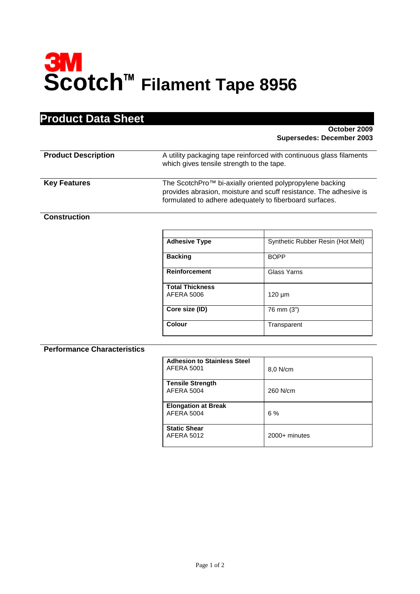# **SM**<br>Scotch™ Filament Tape 8956

# **Product Data Sheet**

### **October 2009 Supersedes: December 2003**

| <b>Product Description</b> | A utility packaging tape reinforced with continuous glass filaments<br>which gives tensile strength to the tape.                                                                                     |
|----------------------------|------------------------------------------------------------------------------------------------------------------------------------------------------------------------------------------------------|
| <b>Key Features</b>        | The ScotchPro <sup>™</sup> bi-axially oriented polypropylene backing<br>provides abrasion, moisture and scuff resistance. The adhesive is<br>formulated to adhere adequately to fiberboard surfaces. |

### **Construction**

| <b>Adhesive Type</b>   | Synthetic Rubber Resin (Hot Melt) |
|------------------------|-----------------------------------|
| <b>Backing</b>         | <b>BOPP</b>                       |
| <b>Reinforcement</b>   | Glass Yarns                       |
| <b>Total Thickness</b> |                                   |
| AFERA 5006             | $120 \mu m$                       |
| Core size (ID)         | 76 mm (3")                        |
| <b>Colour</b>          | Transparent                       |

### **Performance Characteristics**

| <b>Adhesion to Stainless Steel</b><br><b>AFERA 5001</b> | 8,0 N/cm      |
|---------------------------------------------------------|---------------|
| <b>Tensile Strength</b><br><b>AFERA 5004</b>            | 260 N/cm      |
| <b>Elongation at Break</b><br><b>AFERA 5004</b>         | 6 %           |
| <b>Static Shear</b><br><b>AFERA 5012</b>                | 2000+ minutes |